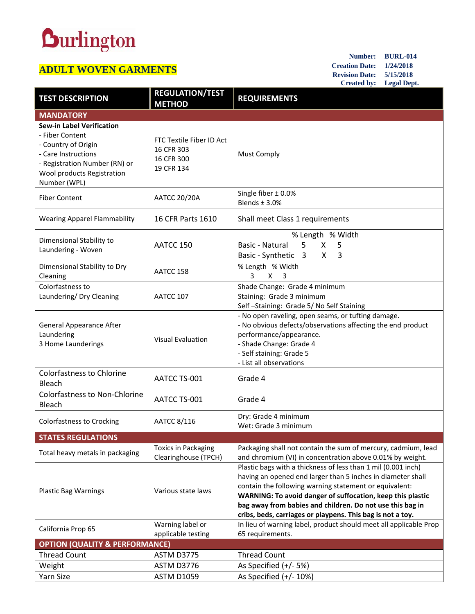## **Durlington**

## **ADULT WOVEN GARMENTS**

**Number: BURL-014 Creation Date: 1/24/2018 Revision Date: 5/15/2018 Created by: Legal Dept.**

| <b>TEST DESCRIPTION</b>                                                                                                                                                          | <b>REGULATION/TEST</b><br><b>METHOD</b>                            | <b>REQUIREMENTS</b>                                                                                                                                                                                                                                                                                                                                                             |  |
|----------------------------------------------------------------------------------------------------------------------------------------------------------------------------------|--------------------------------------------------------------------|---------------------------------------------------------------------------------------------------------------------------------------------------------------------------------------------------------------------------------------------------------------------------------------------------------------------------------------------------------------------------------|--|
| <b>MANDATORY</b>                                                                                                                                                                 |                                                                    |                                                                                                                                                                                                                                                                                                                                                                                 |  |
| <b>Sew-in Label Verification</b><br>- Fiber Content<br>- Country of Origin<br>- Care Instructions<br>- Registration Number (RN) or<br>Wool products Registration<br>Number (WPL) | FTC Textile Fiber ID Act<br>16 CFR 303<br>16 CFR 300<br>19 CFR 134 | <b>Must Comply</b>                                                                                                                                                                                                                                                                                                                                                              |  |
| <b>Fiber Content</b>                                                                                                                                                             | <b>AATCC 20/20A</b>                                                | Single fiber $\pm$ 0.0%<br>Blends ± 3.0%                                                                                                                                                                                                                                                                                                                                        |  |
| <b>Wearing Apparel Flammability</b>                                                                                                                                              | 16 CFR Parts 1610                                                  | Shall meet Class 1 requirements                                                                                                                                                                                                                                                                                                                                                 |  |
| Dimensional Stability to<br>Laundering - Woven                                                                                                                                   | AATCC 150                                                          | % Length % Width<br>5 <sup>1</sup><br>$\mathsf{X}$<br>Basic - Natural<br>5<br>Basic - Synthetic 3<br>X<br>3                                                                                                                                                                                                                                                                     |  |
| Dimensional Stability to Dry<br>Cleaning                                                                                                                                         | AATCC 158                                                          | % Length % Width<br>3<br>$X \quad 3$                                                                                                                                                                                                                                                                                                                                            |  |
| Colorfastness to<br>Laundering/ Dry Cleaning                                                                                                                                     | AATCC 107                                                          | Shade Change: Grade 4 minimum<br>Staining: Grade 3 minimum<br>Self-Staining: Grade 5/No Self Staining                                                                                                                                                                                                                                                                           |  |
| <b>General Appearance After</b><br>Laundering<br>3 Home Launderings                                                                                                              | <b>Visual Evaluation</b>                                           | - No open raveling, open seams, or tufting damage.<br>- No obvious defects/observations affecting the end product<br>performance/appearance.<br>- Shade Change: Grade 4<br>- Self staining: Grade 5<br>- List all observations                                                                                                                                                  |  |
| <b>Colorfastness to Chlorine</b><br>Bleach                                                                                                                                       | AATCC TS-001                                                       | Grade 4                                                                                                                                                                                                                                                                                                                                                                         |  |
| <b>Colorfastness to Non-Chlorine</b><br><b>Bleach</b>                                                                                                                            | AATCC TS-001                                                       | Grade 4                                                                                                                                                                                                                                                                                                                                                                         |  |
| <b>Colorfastness to Crocking</b>                                                                                                                                                 | AATCC 8/116                                                        | Dry: Grade 4 minimum<br>Wet: Grade 3 minimum                                                                                                                                                                                                                                                                                                                                    |  |
| <b>STATES REGULATIONS</b>                                                                                                                                                        |                                                                    |                                                                                                                                                                                                                                                                                                                                                                                 |  |
| Total heavy metals in packaging                                                                                                                                                  | <b>Toxics in Packaging</b><br>Clearinghouse (TPCH)                 | Packaging shall not contain the sum of mercury, cadmium, lead<br>and chromium (VI) in concentration above 0.01% by weight.                                                                                                                                                                                                                                                      |  |
| <b>Plastic Bag Warnings</b>                                                                                                                                                      | Various state laws                                                 | Plastic bags with a thickness of less than 1 mil (0.001 inch)<br>having an opened end larger than 5 inches in diameter shall<br>contain the following warning statement or equivalent:<br>WARNING: To avoid danger of suffocation, keep this plastic<br>bag away from babies and children. Do not use this bag in<br>cribs, beds, carriages or playpens. This bag is not a toy. |  |
| California Prop 65                                                                                                                                                               | Warning label or                                                   | In lieu of warning label, product should meet all applicable Prop                                                                                                                                                                                                                                                                                                               |  |
|                                                                                                                                                                                  | applicable testing                                                 | 65 requirements.                                                                                                                                                                                                                                                                                                                                                                |  |
| <b>OPTION (QUALITY &amp; PERFORMANCE)</b>                                                                                                                                        |                                                                    |                                                                                                                                                                                                                                                                                                                                                                                 |  |
| <b>Thread Count</b>                                                                                                                                                              | ASTM D3775                                                         | <b>Thread Count</b>                                                                                                                                                                                                                                                                                                                                                             |  |
| Weight                                                                                                                                                                           | ASTM D3776                                                         | As Specified (+/- 5%)                                                                                                                                                                                                                                                                                                                                                           |  |
| Yarn Size                                                                                                                                                                        | <b>ASTM D1059</b>                                                  | As Specified $(+/- 10%)$                                                                                                                                                                                                                                                                                                                                                        |  |